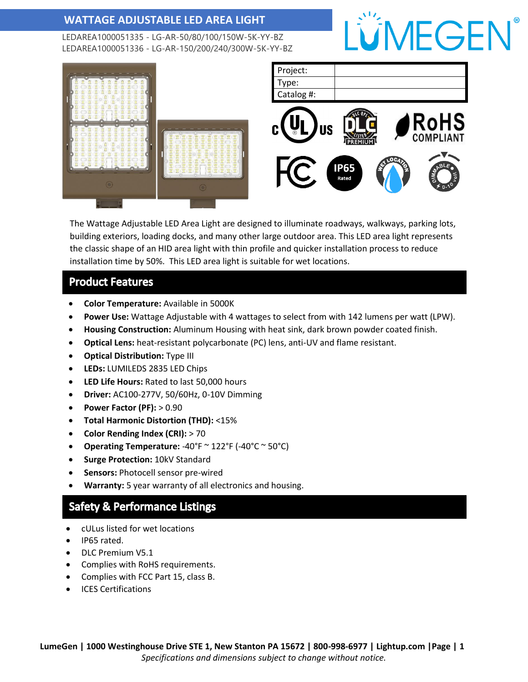LEDAREA1000051335 - LG-AR-50/80/100/150W-5K-YY-BZ LEDAREA1000051336 - LG-AR-150/200/240/300W-5K-YY-BZ





The Wattage Adjustable LED Area Light are designed to illuminate roadways, walkways, parking lots, building exteriors, loading docks, and many other large outdoor area. This LED area light represents the classic shape of an HID area light with thin profile and quicker installation process to reduce installation time by 50%. This LED area light is suitable for wet locations.

#### **Product Features**

- **Color Temperature:** Available in 5000K
- **Power Use:** Wattage Adjustable with 4 wattages to select from with 142 lumens per watt (LPW).
- **Housing Construction:** Aluminum Housing with heat sink, dark brown powder coated finish.
- **Optical Lens:** heat-resistant polycarbonate (PC) lens, anti-UV and flame resistant.
- **Optical Distribution:** Type III
- **LEDs:** LUMILEDS 2835 LED Chips
- **LED Life Hours:** Rated to last 50,000 hours
- **Driver:** AC100-277V, 50/60Hz, 0-10V Dimming
- **Power Factor (PF):** > 0.90
- **Total Harmonic Distortion (THD):** <15%
- **Color Rending Index (CRI):** > 70
- **Operating Temperature:** -40°F ~ 122°F (-40°C ~ 50°C)
- **Surge Protection:** 10kV Standard
- **Sensors:** Photocell sensor pre-wired
- **Warranty:** 5 year warranty of all electronics and housing.

#### **Safety & Performance Listings**

- cULus listed for wet locations
- IP65 rated.
- DLC Premium V5.1
- Complies with RoHS requirements.
- Complies with FCC Part 15, class B.
- ICES Certifications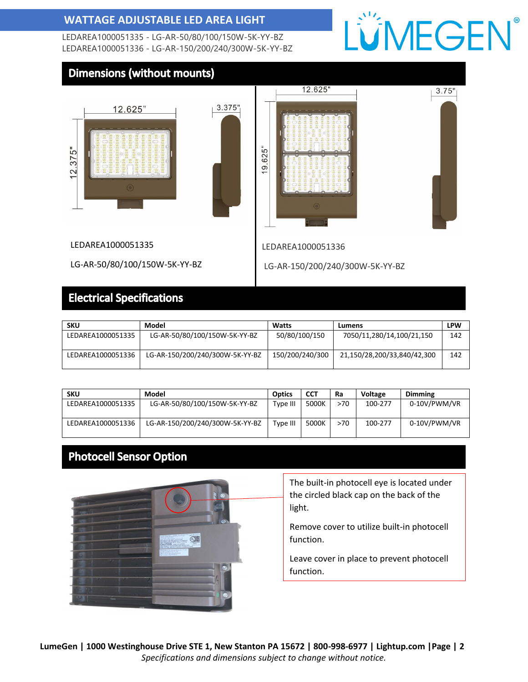LEDAREA1000051335 - LG-AR-50/80/100/150W-5K-YY-BZ LEDAREA1000051336 - LG-AR-150/200/240/300W-5K-YY-BZ

## LÜMEGEN®

#### **Dimensions (without mounts)**







LEDAREA1000051336

LG-AR-150/200/240/300W-5K-YY-BZ

LEDAREA1000051335

### **Electrical Specifications**

LG-AR-50/80/100/150W-5K-YY-BZ

| <b>SKU</b>        | Model                           | Watts           | Lumens                      | <b>LPW</b> |
|-------------------|---------------------------------|-----------------|-----------------------------|------------|
| LEDAREA1000051335 | LG-AR-50/80/100/150W-5K-YY-BZ   | 50/80/100/150   | 7050/11,280/14,100/21,150   | 142        |
| LEDAREA1000051336 | LG-AR-150/200/240/300W-5K-YY-BZ | 150/200/240/300 | 21,150/28,200/33,840/42,300 | 142        |

| <b>SKU</b>        | Model                           | Optics   | CCT   | Ra  | <b>Voltage</b> | <b>Dimming</b> |
|-------------------|---------------------------------|----------|-------|-----|----------------|----------------|
| LEDAREA1000051335 | LG-AR-50/80/100/150W-5K-YY-BZ   | Type III | 5000K | >70 | 100-277        | 0-10V/PWM/VR   |
| LEDAREA1000051336 | LG-AR-150/200/240/300W-5K-YY-BZ | Type III | 5000K | >70 | 100-277        | 0-10V/PWM/VR   |

#### **Photocell Sensor Option**



The built-in photocell eye is located under the circled black cap on the back of the light.

Remove cover to utilize built-in photocell function.

Leave cover in place to prevent photocell function.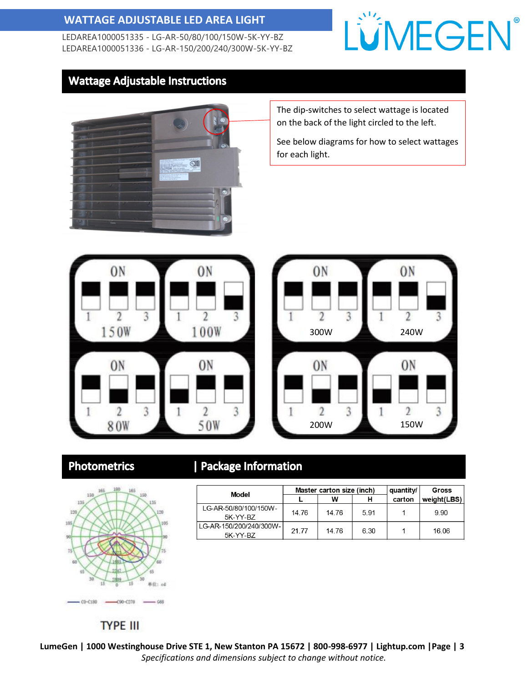LEDAREA1000051335 - LG-AR-50/80/100/150W-5K-YY-BZ LEDAREA1000051336 - LG-AR-150/200/240/300W-5K-YY-BZ

### LÜMEGEN®

#### **Wattage Adjustable Instructions**



The dip-switches to select wattage is located on the back of the light circled to the left.

See below diagrams for how to select wattages for each light.





#### **Photometrics**



### | Package Information

| Model                               | Master carton size (inch) |       |      | quantity/ | <b>Gross</b> |
|-------------------------------------|---------------------------|-------|------|-----------|--------------|
|                                     |                           | w     |      | carton    | weight(LBS)  |
| LG-AR-50/80/100/150W-<br>5K-YY-B7   | 14.76                     | 14.76 | 591  |           | 9.90         |
| LG-AR-150/200/240/300W-<br>5K-YY-BZ | 21 77                     | 14 76 | 6.30 |           | 16.06        |

#### **TYPE III**

**LumeGen | 1000 Westinghouse Drive STE 1, New Stanton PA 15672 | 800-998-6977 | Lightup.com |Page | 3** *Specifications and dimensions subject to change without notice.*